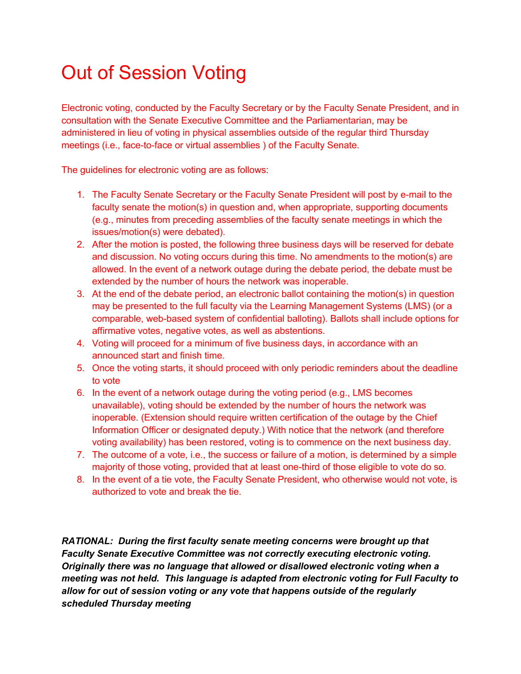#### Out of Session Voting

Electronic voting, conducted by the Faculty Secretary or by the Faculty Senate President, and in consultation with the Senate Executive Committee and the Parliamentarian, may be administered in lieu of voting in physical assemblies outside of the regular third Thursday meetings (i.e., face-to-face or virtual assemblies ) of the Faculty Senate.

The guidelines for electronic voting are as follows:

- 1. The Faculty Senate Secretary or the Faculty Senate President will post by e-mail to the faculty senate the motion(s) in question and, when appropriate, supporting documents (e.g., minutes from preceding assemblies of the faculty senate meetings in which the issues/motion(s) were debated).
- 2. After the motion is posted, the following three business days will be reserved for debate and discussion. No voting occurs during this time. No amendments to the motion(s) are allowed. In the event of a network outage during the debate period, the debate must be extended by the number of hours the network was inoperable.
- 3. At the end of the debate period, an electronic ballot containing the motion(s) in question may be presented to the full faculty via the Learning Management Systems (LMS) (or a comparable, web-based system of confidential balloting). Ballots shall include options for affirmative votes, negative votes, as well as abstentions.
- 4. Voting will proceed for a minimum of five business days, in accordance with an announced start and finish time.
- 5. Once the voting starts, it should proceed with only periodic reminders about the deadline to vote
- 6. In the event of a network outage during the voting period (e.g., LMS becomes unavailable), voting should be extended by the number of hours the network was inoperable. (Extension should require written certification of the outage by the Chief Information Officer or designated deputy.) With notice that the network (and therefore voting availability) has been restored, voting is to commence on the next business day.
- 7. The outcome of a vote, i.e., the success or failure of a motion, is determined by a simple majority of those voting, provided that at least one-third of those eligible to vote do so.
- 8. In the event of a tie vote, the Faculty Senate President, who otherwise would not vote, is authorized to vote and break the tie.

*RATIONAL: During the first faculty senate meeting concerns were brought up that Faculty Senate Executive Committee was not correctly executing electronic voting. Originally there was no language that allowed or disallowed electronic voting when a meeting was not held. This language is adapted from electronic voting for Full Faculty to allow for out of session voting or any vote that happens outside of the regularly scheduled Thursday meeting*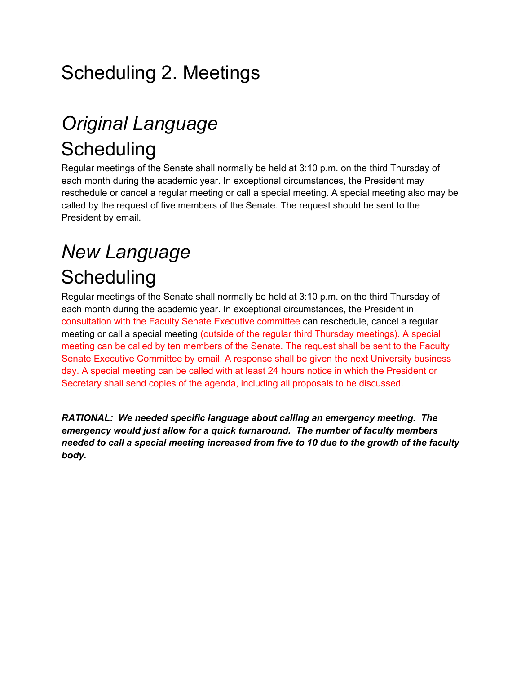### Scheduling 2. Meetings

## *Original Language*  **Scheduling**

Regular meetings of the Senate shall normally be held at 3:10 p.m. on the third Thursday of each month during the academic year. In exceptional circumstances, the President may reschedule or cancel a regular meeting or call a special meeting. A special meeting also may be called by the request of five members of the Senate. The request should be sent to the President by email.

### *New Language*  **Scheduling**

Regular meetings of the Senate shall normally be held at 3:10 p.m. on the third Thursday of each month during the academic year. In exceptional circumstances, the President in consultation with the Faculty Senate Executive committee can reschedule, cancel a regular meeting or call a special meeting (outside of the regular third Thursday meetings). A special meeting can be called by ten members of the Senate. The request shall be sent to the Faculty Senate Executive Committee by email. A response shall be given the next University business day. A special meeting can be called with at least 24 hours notice in which the President or Secretary shall send copies of the agenda, including all proposals to be discussed.

*RATIONAL: We needed specific language about calling an emergency meeting. The emergency would just allow for a quick turnaround. The number of faculty members needed to call a special meeting increased from five to 10 due to the growth of the faculty body.*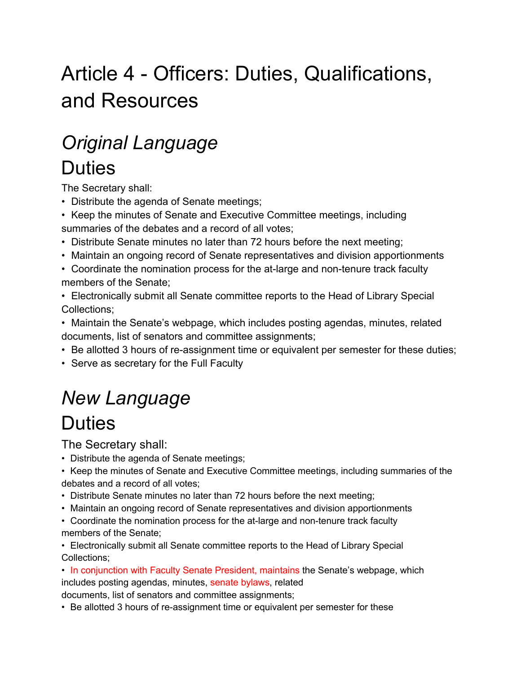# Article 4 - Officers: Duties, Qualifications, and Resources

#### *Original Language*  **Duties**

The Secretary shall:

- Distribute the agenda of Senate meetings;
- Keep the minutes of Senate and Executive Committee meetings, including summaries of the debates and a record of all votes;
- Distribute Senate minutes no later than 72 hours before the next meeting;
- Maintain an ongoing record of Senate representatives and division apportionments
- Coordinate the nomination process for the at-large and non-tenure track faculty members of the Senate;
- Electronically submit all Senate committee reports to the Head of Library Special Collections;
- Maintain the Senate's webpage, which includes posting agendas, minutes, related documents, list of senators and committee assignments;
- Be allotted 3 hours of re-assignment time or equivalent per semester for these duties;
- Serve as secretary for the Full Faculty

## *New Language*

### **Duties**

The Secretary shall:

- Distribute the agenda of Senate meetings;
- Keep the minutes of Senate and Executive Committee meetings, including summaries of the debates and a record of all votes;
- Distribute Senate minutes no later than 72 hours before the next meeting;
- Maintain an ongoing record of Senate representatives and division apportionments
- Coordinate the nomination process for the at-large and non-tenure track faculty members of the Senate;

• Electronically submit all Senate committee reports to the Head of Library Special Collections;

• In conjunction with Faculty Senate President, maintains the Senate's webpage, which includes posting agendas, minutes, senate bylaws, related

documents, list of senators and committee assignments;

• Be allotted 3 hours of re-assignment time or equivalent per semester for these